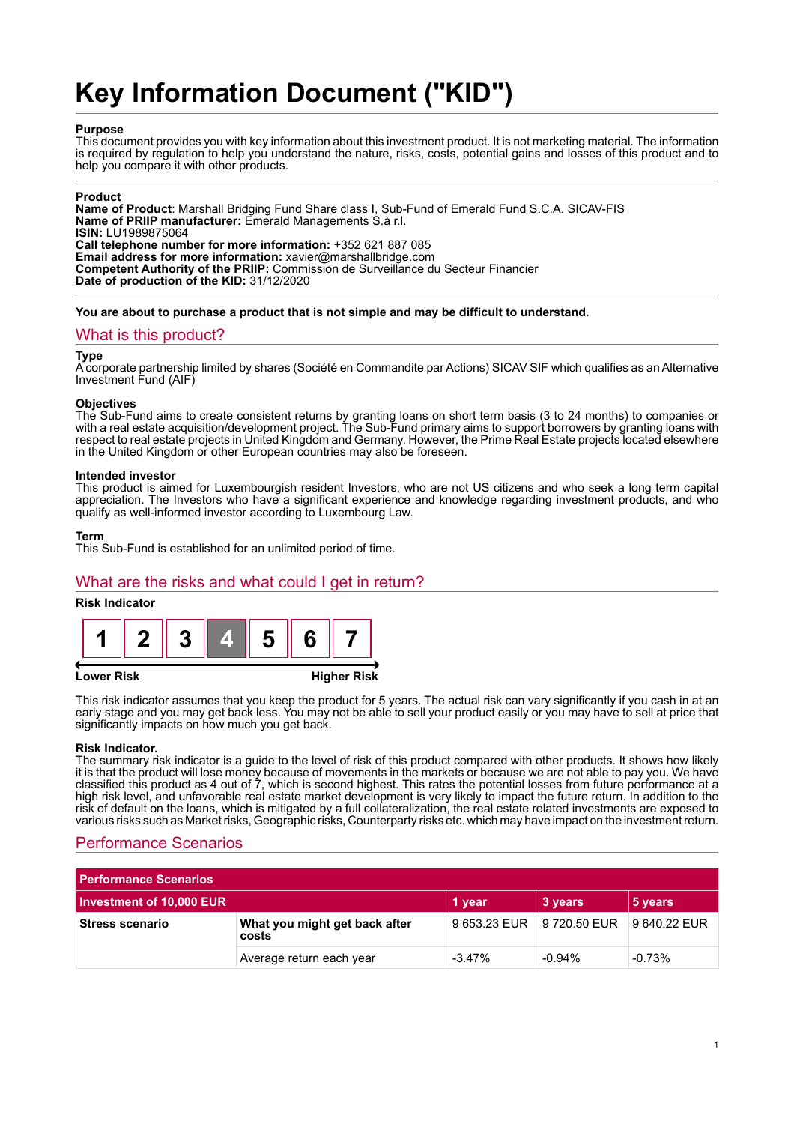# **Key Information Document ("KID")**

#### **Purpose**

This document provides you with key information about this investment product. It is not marketing material. The information is required by regulation to help you understand the nature, risks, costs, potential gains and losses of this product and to help you compare it with other products.

#### **Product**

**Name of Product**: Marshall Bridging Fund Share class I, Sub-Fund of Emerald Fund S.C.A. SICAV-FIS **Name of PRIIP manufacturer:** Emerald Managements S.à r.l. **ISIN:** LU1989875064 **Call telephone number for more information:** +352 621 887 085 **Email address for more information:** xavier@marshallbridge.com **Competent Authority of the PRIIP:** Commission de Surveillance du Secteur Financier **Date of production of the KID:** 31/12/2020

**You are about to purchase a product that is not simple and may be difficult to understand.**

### What is this product?

#### **Type**

A corporate partnership limited by shares (Société en Commandite par Actions) SICAV SIF which qualifies as an Alternative Investment Fund (AIF)

#### **Objectives**

The Sub-Fund aims to create consistent returns by granting loans on short term basis (3 to 24 months) to companies or with a real estate acquisition/development project. The Sub-Fund primary aims to support borrowers by granting loans with respect to real estate projects in United Kingdom and Germany. However, the Prime Real Estate projects located elsewhere in the United Kingdom or other European countries may also be foreseen.

#### **Intended investor**

This product is aimed for Luxembourgish resident Investors, who are not US citizens and who seek a long term capital appreciation. The Investors who have a significant experience and knowledge regarding investment products, and who qualify as well-informed investor according to Luxembourg Law.

#### **Term**

This Sub-Fund is established for an unlimited period of time.

## What are the risks and what could I get in return?

#### **Risk Indicator**



#### **Lower Risk Higher Risk**

This risk indicator assumes that you keep the product for 5 years. The actual risk can vary significantly if you cash in at an early stage and you may get back less. You may not be able to sell your product easily or you may have to sell at price that significantly impacts on how much you get back.

#### **Risk Indicator.**

The summary risk indicator is a guide to the level of risk of this product compared with other products. It shows how likely it is that the product will lose money because of movements in the markets or because we are not able to pay you. We have classified this product as 4 out of 7, which is second highest. This rates the potential losses from future performance at a high risk level, and unfavorable real estate market development is very likely to impact the future return. In addition to the risk of default on the loans, which is mitigated by a full collateralization, the real estate related investments are exposed to various risks such as Market risks, Geographic risks, Counterparty risks etc. which may have impact on the investment return.

## Performance Scenarios

| <b>Performance Scenarios</b> |                                        |                           |          |              |
|------------------------------|----------------------------------------|---------------------------|----------|--------------|
| Investment of 10,000 EUR     |                                        | 1 year                    | 3 years  | 5 years      |
| <b>Stress scenario</b>       | What you might get back after<br>costs | 9 653.23 EUR 9 720.50 EUR |          | 9 640.22 EUR |
|                              | Average return each year               | $-3.47\%$                 | $-0.94%$ | $-0.73%$     |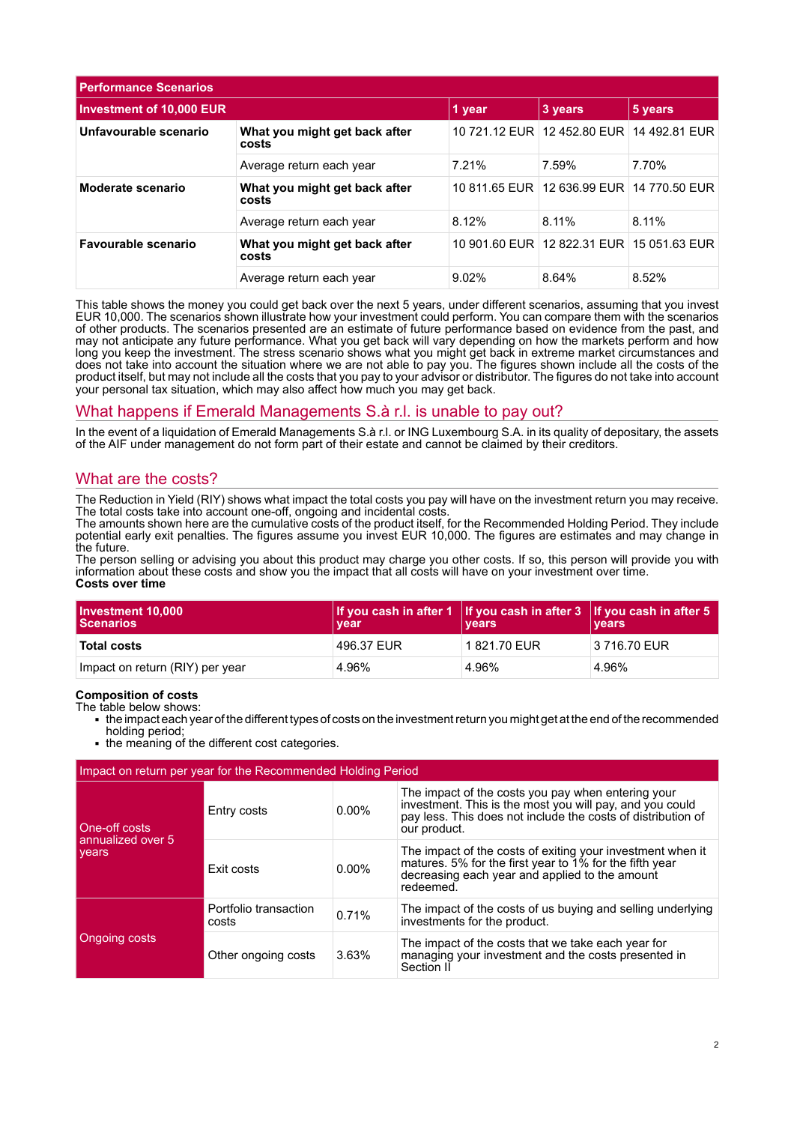| <b>Performance Scenarios</b>    |                                        |         |                                           |       |
|---------------------------------|----------------------------------------|---------|-------------------------------------------|-------|
| <b>Investment of 10,000 EUR</b> | 1 year                                 | 3 years | 5 years                                   |       |
| Unfavourable scenario           | What you might get back after<br>costs |         | 10 721.12 EUR 12 452.80 EUR 14 492.81 EUR |       |
|                                 | Average return each year               | 7.21%   | 7.59%                                     | 7.70% |
| Moderate scenario               | What you might get back after<br>costs |         | 10 811.65 EUR 12 636.99 EUR 14 770.50 EUR |       |
|                                 | Average return each year               | 8.12%   | 8.11%                                     | 8.11% |
| Favourable scenario             | What you might get back after<br>costs |         | 10 901.60 EUR 12 822.31 EUR 15 051.63 EUR |       |
|                                 | Average return each year               | 9.02%   | 8.64%                                     | 8.52% |

This table shows the money you could get back over the next 5 years, under different scenarios, assuming that you invest EUR 10,000. The scenarios shown illustrate how your investment could perform. You can compare them with the scenarios of other products. The scenarios presented are an estimate of future performance based on evidence from the past, and may not anticipate any future performance. What you get back will vary depending on how the markets perform and how long you keep the investment. The stress scenario shows what you might get back in extreme market circumstances and does not take into account the situation where we are not able to pay you. The figures shown include all the costs of the product itself, but may not include all the costs that you pay to your advisor or distributor. The figures do not take into account your personal tax situation, which may also affect how much you may get back.

## What happens if Emerald Managements S.à r.l. is unable to pay out?

In the event of a liquidation of Emerald Managements S.à r.l. or ING Luxembourg S.A. in its quality of depositary, the assets of the AIF under management do not form part of their estate and cannot be claimed by their creditors.

## What are the costs?

The Reduction in Yield (RIY) shows what impact the total costs you pay will have on the investment return you may receive. The total costs take into account one-off, ongoing and incidental costs.

The amounts shown here are the cumulative costs of the product itself, for the Recommended Holding Period. They include potential early exit penalties. The figures assume you invest EUR 10,000. The figures are estimates and may change in the future.

The person selling or advising you about this product may charge you other costs. If so, this person will provide you with information about these costs and show you the impact that all costs will have on your investment over time. **Costs over time**

| Investment 10,000<br><b>Scenarios</b> | vear       | If you cash in after 1 If you cash in after $3$ If you cash in after 5<br><b>vears</b> | <b>vears</b> |
|---------------------------------------|------------|----------------------------------------------------------------------------------------|--------------|
| <b>Total costs</b>                    | 496.37 EUR | 1821.70 EUR                                                                            | 3 716.70 EUR |
| Impact on return (RIY) per year       | 4.96%      | 4.96%                                                                                  | 4.96%        |

#### **Composition of costs**

The table below shows:

- 1 the impact each year of the different types of costs on the investment return you might get at the end of the recommended holding period;
- the meaning of the different cost categories.

| Impact on return per year for the Recommended Holding Period |                                |          |                                                                                                                                                                                                |  |
|--------------------------------------------------------------|--------------------------------|----------|------------------------------------------------------------------------------------------------------------------------------------------------------------------------------------------------|--|
| One-off costs<br>annualized over 5<br>vears                  | Entry costs                    | $0.00\%$ | The impact of the costs you pay when entering your<br>investment. This is the most you will pay, and you could<br>pay less. This does not include the costs of distribution of<br>our product. |  |
|                                                              | Exit costs                     | $0.00\%$ | The impact of the costs of exiting your investment when it<br>matures. 5% for the first year to 1% for the fifth year<br>decreasing each year and applied to the amount<br>redeemed.           |  |
| Ongoing costs                                                | Portfolio transaction<br>costs | 0.71%    | The impact of the costs of us buying and selling underlying<br>investments for the product.                                                                                                    |  |
|                                                              | Other ongoing costs            | 3.63%    | The impact of the costs that we take each year for<br>managing your investment and the costs presented in<br>Section II                                                                        |  |